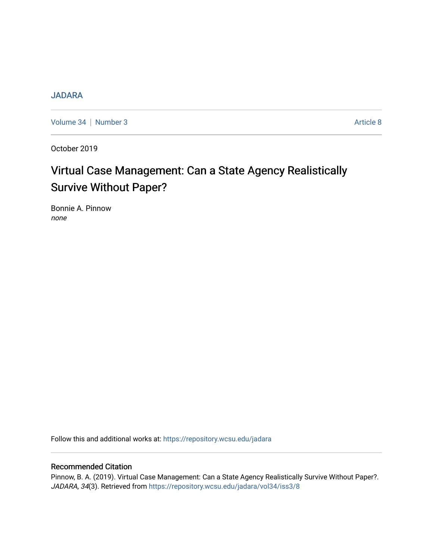## **[JADARA](https://repository.wcsu.edu/jadara)**

[Volume 34](https://repository.wcsu.edu/jadara/vol34) | [Number 3](https://repository.wcsu.edu/jadara/vol34/iss3) Article 8

October 2019

# Virtual Case Management: Can a State Agency Realistically Survive Without Paper?

Bonnie A. Pinnow none

Follow this and additional works at: [https://repository.wcsu.edu/jadara](https://repository.wcsu.edu/jadara?utm_source=repository.wcsu.edu%2Fjadara%2Fvol34%2Fiss3%2F8&utm_medium=PDF&utm_campaign=PDFCoverPages)

## Recommended Citation

Pinnow, B. A. (2019). Virtual Case Management: Can a State Agency Realistically Survive Without Paper?. JADARA, 34(3). Retrieved from [https://repository.wcsu.edu/jadara/vol34/iss3/8](https://repository.wcsu.edu/jadara/vol34/iss3/8?utm_source=repository.wcsu.edu%2Fjadara%2Fvol34%2Fiss3%2F8&utm_medium=PDF&utm_campaign=PDFCoverPages)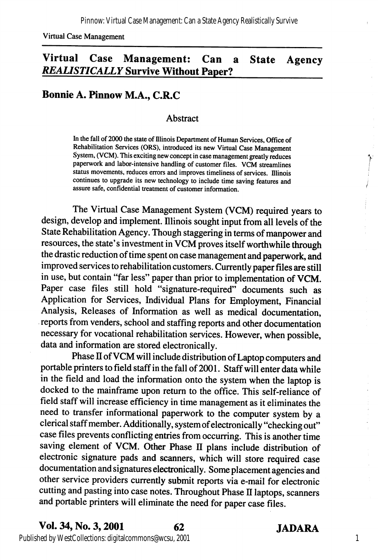Virtual Case Management

# Virtual Case Management: Can a State Agency REALISTICALLY Survive Without Paper?

## Bonnie A. Pinnow M.A., C.R.C

#### Abstract

In the fall of 2000 the state of Illinois Department of Human Services, Office of Rehabilitation Services (ORS), introduced its new Virtual Case Management System, (VCM). This exciting new concept in case management greatly reduces paperwork and labor-intensive handling of customer files. VCM streamlines status movements, reduces errors and improves timeliness of services. Illinois continues to upgrade its new technology to include time saving features and assure safe, confidential treatment of customer information.

The Virtual Case Management System (VCM) required years to design, develop and implement. Illinois sought input from all levels of the State Rehabilitation Agency. Though staggering in terms of manpower and resources, the state's investment in VCM proves itself worthwhile through the drastic reduction of time spent on case management and paperwork, and improved services to rehabilitation customers. Currently paper files are still in use, but contain "far less" paper than prior to implementation of VCM. Paper case files still hold "signature-required" documents such as Application for Services, Individual Plans for Employment, Financial Analysis, Releases of Information as well as medical documentation, reports from venders, school and staffing reports and other documentation necessary for vocational rehabilitation services. However, when possible, data and information are stored electronically.

Phase II of VCM will include distribution of Laptop computers and portable printers to field staff in the fall of 2001. Staff will enter data while in the field and load the information onto the system when the laptop is docked to the mainframe upon return to the office. This self-reliance of field staff will increase efficiency in time management as it eliminates the need to transfer informational paperwork to the computer system by a clerical staff member. Additionally, system of electronically "checking out" case files prevents conflicting entries from occurring. This is another time saving element of VCM. Other Phase II plans include distribution of electronic signature pads and scanners, which will store required case documentation and signatures electronically. Some placement agencies and other service providers currentiy submit reports via e-mail for electronic cutting and pasting into case notes. Throughout Phase II laptops, scanners and portable printers will eliminate the need for paper case files.

1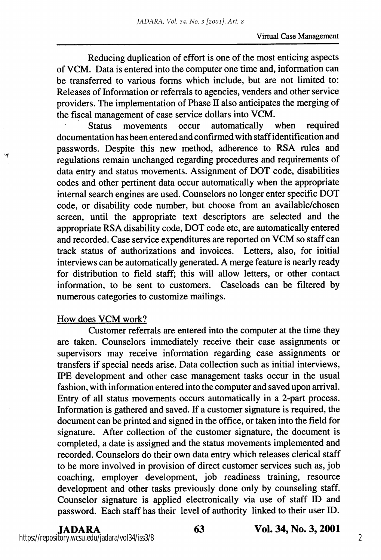Reducing duplication of effort is one of the most enticing aspects of VCM. Data is entered into the computer one time and, information can be transferred to various forms which include, but are not limited to: Releases of Information or referrals to agencies, venders and other service providers. The implementation of Phase  $II$  also anticipates the merging of the fiscal management of case service dollars into VCM.

Status movements occur automatically when required documentation has been entered and confirmed with staff identification and passwords. Despite this new method, adherence to RSA rules and regulations remain unchanged regarding procedures and requirements of data entry and status movements. Assignment of DOT code, disabilities codes and other pertinent data occur automatically when the appropriate internal search engines are used. Counselors no longer enter specific DOT code, or disability code number, but choose from an available/chosen screen, until the appropriate text descriptors are selected and the appropriate RSA disability code, DOT code etc, are automatically entered and recorded. Case service expenditures are reported on VCM so staff can track status of authorizations and invoices. Letters, also, for initial interviews can be automatically generated. A merge feature is nearly ready for distribution to field staff; this will allow letters, or other contact information, to be sent to customers. Caseloads can be filtered by numerous categories to customize mailings.

## How does VCM work?

Customer referrals are entered into the computer at the time they are taken. Counselors immediately receive their case assignments or supervisors may receive information regarding case assignments or transfers if special needs arise. Data collection such as initial interviews, EPE development and other case management tasks occur in the usual fashion, with information entered into the computer and saved upon arrival. Entry of all status movements occurs automatically in a 2-part process. Information is gathered and saved. If a customer signature is required, the document can be printed and signed in the office, or taken into the field for signature. After collection of the customer signature, the document is completed, a date is assigned and the status movements implemented and recorded. Counselors do their own data entry which releases clerical staff to be more involved in provision of direct customer services such as, job coaching, employer development, job readiness training, resource development and other tasks previously done only by counseling staff. Counselor signature is applied electronically via use of staff ID and password. Each staff has their level of authority linked to their user ID.

#### JADARA 63 Vol. 34, No. 3,2001 https://repository.wcsu.edu/jadara/vol34/iss3/8